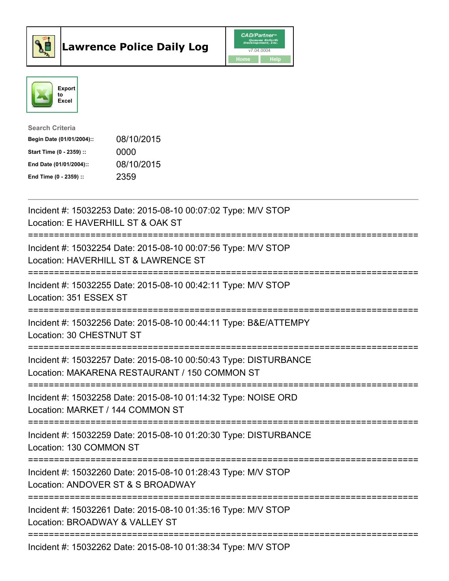



| <b>Search Criteria</b>    |            |
|---------------------------|------------|
| Begin Date (01/01/2004):: | 08/10/2015 |
| Start Time (0 - 2359) ::  | 0000       |
| End Date (01/01/2004)::   | 08/10/2015 |
| End Time (0 - 2359) ::    | 2359       |

| Incident #: 15032253 Date: 2015-08-10 00:07:02 Type: M/V STOP<br>Location: E HAVERHILL ST & OAK ST                         |
|----------------------------------------------------------------------------------------------------------------------------|
| Incident #: 15032254 Date: 2015-08-10 00:07:56 Type: M/V STOP<br>Location: HAVERHILL ST & LAWRENCE ST                      |
| Incident #: 15032255 Date: 2015-08-10 00:42:11 Type: M/V STOP<br>Location: 351 ESSEX ST<br>:============================== |
| Incident #: 15032256 Date: 2015-08-10 00:44:11 Type: B&E/ATTEMPY<br>Location: 30 CHESTNUT ST<br>=================          |
| Incident #: 15032257 Date: 2015-08-10 00:50:43 Type: DISTURBANCE<br>Location: MAKARENA RESTAURANT / 150 COMMON ST          |
| Incident #: 15032258 Date: 2015-08-10 01:14:32 Type: NOISE ORD<br>Location: MARKET / 144 COMMON ST                         |
| Incident #: 15032259 Date: 2015-08-10 01:20:30 Type: DISTURBANCE<br>Location: 130 COMMON ST                                |
| Incident #: 15032260 Date: 2015-08-10 01:28:43 Type: M/V STOP<br>Location: ANDOVER ST & S BROADWAY                         |
| Incident #: 15032261 Date: 2015-08-10 01:35:16 Type: M/V STOP<br>Location: BROADWAY & VALLEY ST                            |
| Incident #: 15032262 Date: 2015-08-10 01:38:34 Type: M/V STOP                                                              |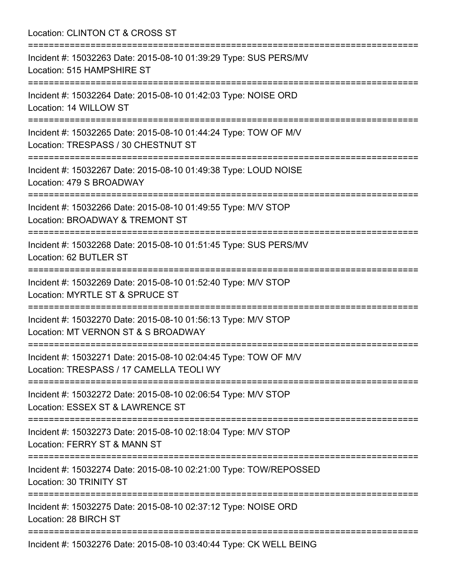Location: CLINTON CT & CROSS ST =========================================================================== Incident #: 15032263 Date: 2015-08-10 01:39:29 Type: SUS PERS/MV Location: 515 HAMPSHIRE ST =========================================================================== Incident #: 15032264 Date: 2015-08-10 01:42:03 Type: NOISE ORD Location: 14 WILLOW ST =========================================================================== Incident #: 15032265 Date: 2015-08-10 01:44:24 Type: TOW OF M/V Location: TRESPASS / 30 CHESTNUT ST =========================================================================== Incident #: 15032267 Date: 2015-08-10 01:49:38 Type: LOUD NOISE Location: 479 S BROADWAY =========================================================================== Incident #: 15032266 Date: 2015-08-10 01:49:55 Type: M/V STOP Location: BROADWAY & TREMONT ST =========================================================================== Incident #: 15032268 Date: 2015-08-10 01:51:45 Type: SUS PERS/MV Location: 62 BUTLER ST =========================================================================== Incident #: 15032269 Date: 2015-08-10 01:52:40 Type: M/V STOP Location: MYRTLE ST & SPRUCE ST =========================================================================== Incident #: 15032270 Date: 2015-08-10 01:56:13 Type: M/V STOP Location: MT VERNON ST & S BROADWAY =========================================================================== Incident #: 15032271 Date: 2015-08-10 02:04:45 Type: TOW OF M/V Location: TRESPASS / 17 CAMELLA TEOLI WY =========================================================================== Incident #: 15032272 Date: 2015-08-10 02:06:54 Type: M/V STOP Location: ESSEX ST & LAWRENCE ST =========================================================================== Incident #: 15032273 Date: 2015-08-10 02:18:04 Type: M/V STOP Location: FERRY ST & MANN ST =========================================================================== Incident #: 15032274 Date: 2015-08-10 02:21:00 Type: TOW/REPOSSED Location: 30 TRINITY ST =========================================================================== Incident #: 15032275 Date: 2015-08-10 02:37:12 Type: NOISE ORD Location: 28 BIRCH ST =========================================================================== Incident #: 15032276 Date: 2015-08-10 03:40:44 Type: CK WELL BEING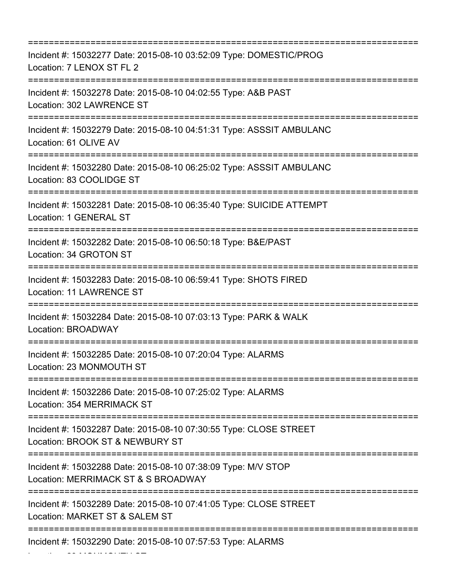| Incident #: 15032277 Date: 2015-08-10 03:52:09 Type: DOMESTIC/PROG<br>Location: 7 LENOX ST FL 2<br>================================ |
|-------------------------------------------------------------------------------------------------------------------------------------|
| Incident #: 15032278 Date: 2015-08-10 04:02:55 Type: A&B PAST<br>Location: 302 LAWRENCE ST                                          |
| Incident #: 15032279 Date: 2015-08-10 04:51:31 Type: ASSSIT AMBULANC<br>Location: 61 OLIVE AV                                       |
| Incident #: 15032280 Date: 2015-08-10 06:25:02 Type: ASSSIT AMBULANC<br>Location: 83 COOLIDGE ST                                    |
| Incident #: 15032281 Date: 2015-08-10 06:35:40 Type: SUICIDE ATTEMPT<br>Location: 1 GENERAL ST                                      |
| Incident #: 15032282 Date: 2015-08-10 06:50:18 Type: B&E/PAST<br>Location: 34 GROTON ST                                             |
| Incident #: 15032283 Date: 2015-08-10 06:59:41 Type: SHOTS FIRED<br><b>Location: 11 LAWRENCE ST</b>                                 |
| Incident #: 15032284 Date: 2015-08-10 07:03:13 Type: PARK & WALK<br>Location: BROADWAY                                              |
| Incident #: 15032285 Date: 2015-08-10 07:20:04 Type: ALARMS<br>Location: 23 MONMOUTH ST                                             |
| Incident #: 15032286 Date: 2015-08-10 07:25:02 Type: ALARMS<br>Location: 354 MERRIMACK ST                                           |
| Incident #: 15032287 Date: 2015-08-10 07:30:55 Type: CLOSE STREET<br>Location: BROOK ST & NEWBURY ST                                |
| Incident #: 15032288 Date: 2015-08-10 07:38:09 Type: M/V STOP<br>Location: MERRIMACK ST & S BROADWAY                                |
| Incident #: 15032289 Date: 2015-08-10 07:41:05 Type: CLOSE STREET<br>Location: MARKET ST & SALEM ST                                 |
| Incident #: 15032290 Date: 2015-08-10 07:57:53 Type: ALARMS                                                                         |

Location: 23 MONMOUTH ST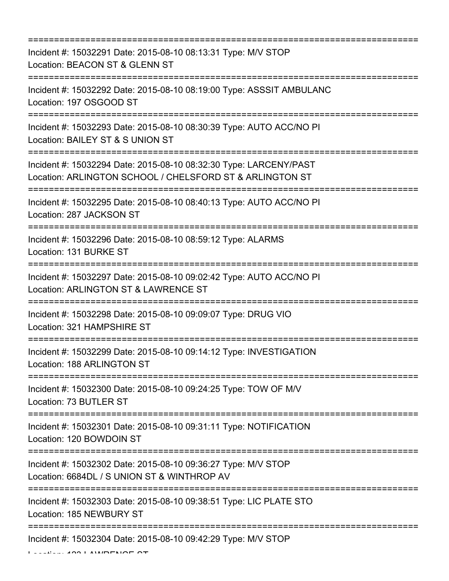| Incident #: 15032291 Date: 2015-08-10 08:13:31 Type: M/V STOP<br>Location: BEACON ST & GLENN ST<br>=======================                                 |
|------------------------------------------------------------------------------------------------------------------------------------------------------------|
| Incident #: 15032292 Date: 2015-08-10 08:19:00 Type: ASSSIT AMBULANC<br>Location: 197 OSGOOD ST<br>=========================                               |
| Incident #: 15032293 Date: 2015-08-10 08:30:39 Type: AUTO ACC/NO PI<br>Location: BAILEY ST & S UNION ST                                                    |
| Incident #: 15032294 Date: 2015-08-10 08:32:30 Type: LARCENY/PAST<br>Location: ARLINGTON SCHOOL / CHELSFORD ST & ARLINGTON ST                              |
| Incident #: 15032295 Date: 2015-08-10 08:40:13 Type: AUTO ACC/NO PI<br>Location: 287 JACKSON ST<br>===============================<br>-------------------- |
| Incident #: 15032296 Date: 2015-08-10 08:59:12 Type: ALARMS<br>Location: 131 BURKE ST                                                                      |
| Incident #: 15032297 Date: 2015-08-10 09:02:42 Type: AUTO ACC/NO PI<br>Location: ARLINGTON ST & LAWRENCE ST                                                |
| Incident #: 15032298 Date: 2015-08-10 09:09:07 Type: DRUG VIO<br>Location: 321 HAMPSHIRE ST                                                                |
| Incident #: 15032299 Date: 2015-08-10 09:14:12 Type: INVESTIGATION<br>Location: 188 ARLINGTON ST                                                           |
| Incident #: 15032300 Date: 2015-08-10 09:24:25 Type: TOW OF M/V<br>Location: 73 BUTLER ST                                                                  |
| Incident #: 15032301 Date: 2015-08-10 09:31:11 Type: NOTIFICATION<br>Location: 120 BOWDOIN ST                                                              |
| Incident #: 15032302 Date: 2015-08-10 09:36:27 Type: M/V STOP<br>Location: 6684DL / S UNION ST & WINTHROP AV                                               |
| Incident #: 15032303 Date: 2015-08-10 09:38:51 Type: LIC PLATE STO<br>Location: 185 NEWBURY ST                                                             |
| Incident #: 15032304 Date: 2015-08-10 09:42:29 Type: M/V STOP                                                                                              |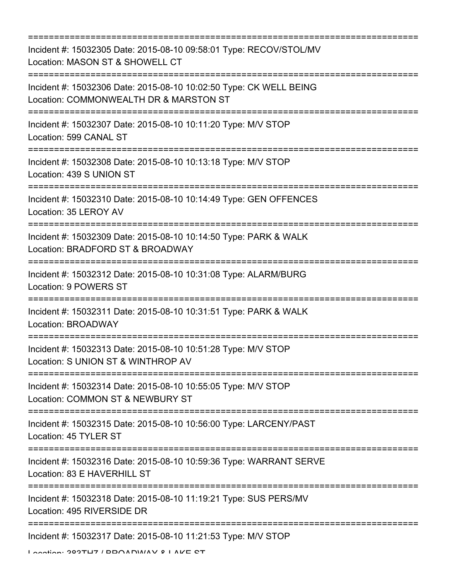=========================================================================== Incident #: 15032305 Date: 2015-08-10 09:58:01 Type: RECOV/STOL/MV Location: MASON ST & SHOWELL CT =========================================================================== Incident #: 15032306 Date: 2015-08-10 10:02:50 Type: CK WELL BEING Location: COMMONWEALTH DR & MARSTON ST =========================================================================== Incident #: 15032307 Date: 2015-08-10 10:11:20 Type: M/V STOP Location: 599 CANAL ST =========================================================================== Incident #: 15032308 Date: 2015-08-10 10:13:18 Type: M/V STOP Location: 439 S UNION ST =========================================================================== Incident #: 15032310 Date: 2015-08-10 10:14:49 Type: GEN OFFENCES Location: 35 LEROY AV =========================================================================== Incident #: 15032309 Date: 2015-08-10 10:14:50 Type: PARK & WALK Location: BRADFORD ST & BROADWAY =========================================================================== Incident #: 15032312 Date: 2015-08-10 10:31:08 Type: ALARM/BURG Location: 9 POWERS ST =========================================================================== Incident #: 15032311 Date: 2015-08-10 10:31:51 Type: PARK & WALK Location: BROADWAY =========================================================================== Incident #: 15032313 Date: 2015-08-10 10:51:28 Type: M/V STOP Location: S UNION ST & WINTHROP AV =========================================================================== Incident #: 15032314 Date: 2015-08-10 10:55:05 Type: M/V STOP Location: COMMON ST & NEWBURY ST =========================================================================== Incident #: 15032315 Date: 2015-08-10 10:56:00 Type: LARCENY/PAST Location: 45 TYLER ST =========================================================================== Incident #: 15032316 Date: 2015-08-10 10:59:36 Type: WARRANT SERVE Location: 83 E HAVERHILL ST =========================================================================== Incident #: 15032318 Date: 2015-08-10 11:19:21 Type: SUS PERS/MV Location: 495 RIVERSIDE DR =========================================================================== Incident #: 15032317 Date: 2015-08-10 11:21:53 Type: M/V STOP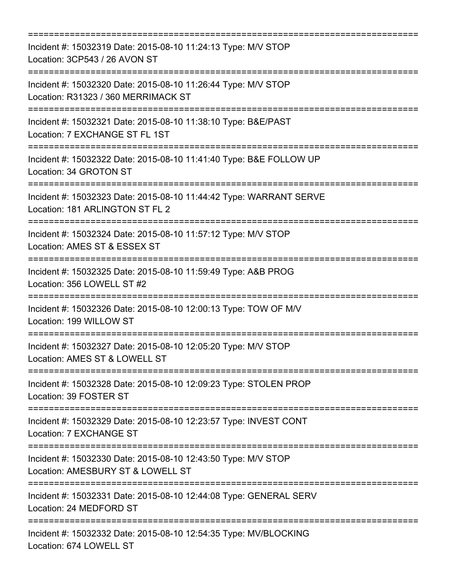| Incident #: 15032319 Date: 2015-08-10 11:24:13 Type: M/V STOP<br>Location: 3CP543 / 26 AVON ST                                      |
|-------------------------------------------------------------------------------------------------------------------------------------|
| Incident #: 15032320 Date: 2015-08-10 11:26:44 Type: M/V STOP<br>Location: R31323 / 360 MERRIMACK ST<br>:========================== |
| Incident #: 15032321 Date: 2015-08-10 11:38:10 Type: B&E/PAST<br>Location: 7 EXCHANGE ST FL 1ST                                     |
| Incident #: 15032322 Date: 2015-08-10 11:41:40 Type: B&E FOLLOW UP<br>Location: 34 GROTON ST                                        |
| Incident #: 15032323 Date: 2015-08-10 11:44:42 Type: WARRANT SERVE<br>Location: 181 ARLINGTON ST FL 2                               |
| =======================<br>Incident #: 15032324 Date: 2015-08-10 11:57:12 Type: M/V STOP<br>Location: AMES ST & ESSEX ST            |
| Incident #: 15032325 Date: 2015-08-10 11:59:49 Type: A&B PROG<br>Location: 356 LOWELL ST #2<br>==================                   |
| Incident #: 15032326 Date: 2015-08-10 12:00:13 Type: TOW OF M/V<br>Location: 199 WILLOW ST                                          |
| Incident #: 15032327 Date: 2015-08-10 12:05:20 Type: M/V STOP<br>Location: AMES ST & LOWELL ST                                      |
| Incident #: 15032328 Date: 2015-08-10 12:09:23 Type: STOLEN PROP<br>Location: 39 FOSTER ST                                          |
| Incident #: 15032329 Date: 2015-08-10 12:23:57 Type: INVEST CONT<br>Location: 7 EXCHANGE ST                                         |
| Incident #: 15032330 Date: 2015-08-10 12:43:50 Type: M/V STOP<br>Location: AMESBURY ST & LOWELL ST                                  |
| Incident #: 15032331 Date: 2015-08-10 12:44:08 Type: GENERAL SERV<br>Location: 24 MEDFORD ST                                        |
| Incident #: 15032332 Date: 2015-08-10 12:54:35 Type: MV/BLOCKING<br>Location: 674 LOWELL ST                                         |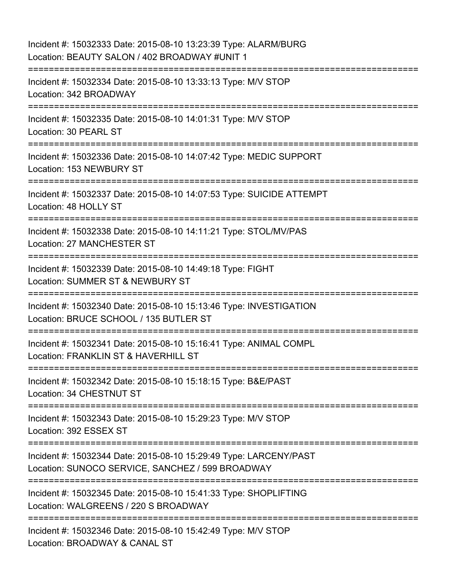Incident #: 15032333 Date: 2015-08-10 13:23:39 Type: ALARM/BURG Location: BEAUTY SALON / 402 BROADWAY #UNIT 1 =========================================================================== Incident #: 15032334 Date: 2015-08-10 13:33:13 Type: M/V STOP Location: 342 BROADWAY =========================================================================== Incident #: 15032335 Date: 2015-08-10 14:01:31 Type: M/V STOP Location: 30 PEARL ST =========================================================================== Incident #: 15032336 Date: 2015-08-10 14:07:42 Type: MEDIC SUPPORT Location: 153 NEWBURY ST =========================================================================== Incident #: 15032337 Date: 2015-08-10 14:07:53 Type: SUICIDE ATTEMPT Location: 48 HOLLY ST =========================================================================== Incident #: 15032338 Date: 2015-08-10 14:11:21 Type: STOL/MV/PAS Location: 27 MANCHESTER ST =========================================================================== Incident #: 15032339 Date: 2015-08-10 14:49:18 Type: FIGHT Location: SUMMER ST & NEWBURY ST =========================================================================== Incident #: 15032340 Date: 2015-08-10 15:13:46 Type: INVESTIGATION Location: BRUCE SCHOOL / 135 BUTLER ST =========================================================================== Incident #: 15032341 Date: 2015-08-10 15:16:41 Type: ANIMAL COMPL Location: FRANKLIN ST & HAVERHILL ST =========================================================================== Incident #: 15032342 Date: 2015-08-10 15:18:15 Type: B&E/PAST Location: 34 CHESTNUT ST =========================================================================== Incident #: 15032343 Date: 2015-08-10 15:29:23 Type: M/V STOP Location: 392 ESSEX ST =========================================================================== Incident #: 15032344 Date: 2015-08-10 15:29:49 Type: LARCENY/PAST Location: SUNOCO SERVICE, SANCHEZ / 599 BROADWAY =========================================================================== Incident #: 15032345 Date: 2015-08-10 15:41:33 Type: SHOPLIFTING Location: WALGREENS / 220 S BROADWAY =========================================================================== Incident #: 15032346 Date: 2015-08-10 15:42:49 Type: M/V STOP Location: BROADWAY & CANAL ST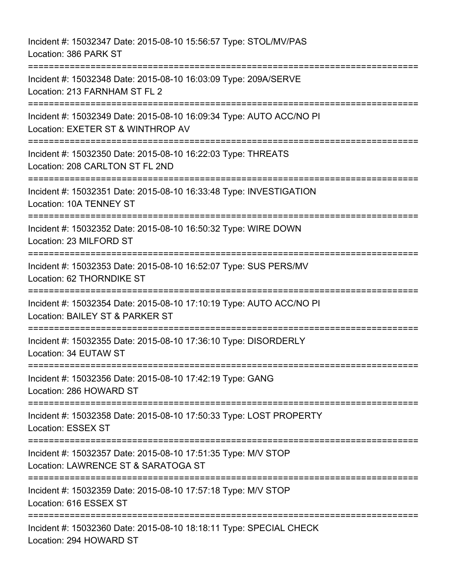Incident #: 15032347 Date: 2015-08-10 15:56:57 Type: STOL/MV/PAS Location: 386 PARK ST =========================================================================== Incident #: 15032348 Date: 2015-08-10 16:03:09 Type: 209A/SERVE Location: 213 FARNHAM ST FL 2 =========================================================================== Incident #: 15032349 Date: 2015-08-10 16:09:34 Type: AUTO ACC/NO PI Location: EXETER ST & WINTHROP AV =========================================================================== Incident #: 15032350 Date: 2015-08-10 16:22:03 Type: THREATS Location: 208 CARLTON ST FL 2ND =========================================================================== Incident #: 15032351 Date: 2015-08-10 16:33:48 Type: INVESTIGATION Location: 10A TENNEY ST =========================================================================== Incident #: 15032352 Date: 2015-08-10 16:50:32 Type: WIRE DOWN Location: 23 MILFORD ST =========================================================================== Incident #: 15032353 Date: 2015-08-10 16:52:07 Type: SUS PERS/MV Location: 62 THORNDIKE ST =========================================================================== Incident #: 15032354 Date: 2015-08-10 17:10:19 Type: AUTO ACC/NO PI Location: BAILEY ST & PARKER ST =========================================================================== Incident #: 15032355 Date: 2015-08-10 17:36:10 Type: DISORDERLY Location: 34 EUTAW ST =========================================================================== Incident #: 15032356 Date: 2015-08-10 17:42:19 Type: GANG Location: 286 HOWARD ST =========================================================================== Incident #: 15032358 Date: 2015-08-10 17:50:33 Type: LOST PROPERTY Location: ESSEX ST =========================================================================== Incident #: 15032357 Date: 2015-08-10 17:51:35 Type: M/V STOP Location: LAWRENCE ST & SARATOGA ST =========================================================================== Incident #: 15032359 Date: 2015-08-10 17:57:18 Type: M/V STOP Location: 616 ESSEX ST =========================================================================== Incident #: 15032360 Date: 2015-08-10 18:18:11 Type: SPECIAL CHECK Location: 294 HOWARD ST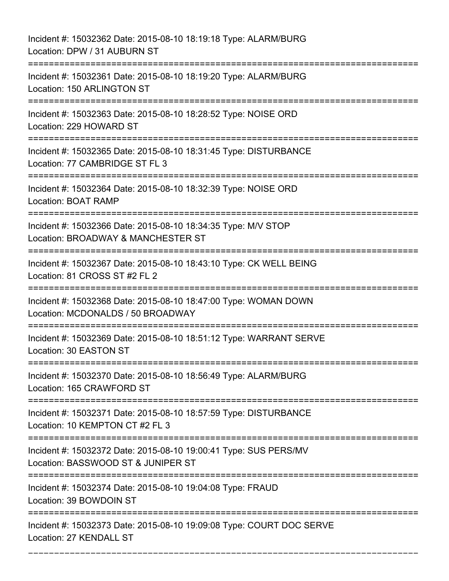Incident #: 15032362 Date: 2015-08-10 18:19:18 Type: ALARM/BURG Location: DPW / 31 AUBURN ST =========================================================================== Incident #: 15032361 Date: 2015-08-10 18:19:20 Type: ALARM/BURG Location: 150 ARLINGTON ST =========================================================================== Incident #: 15032363 Date: 2015-08-10 18:28:52 Type: NOISE ORD Location: 229 HOWARD ST =========================================================================== Incident #: 15032365 Date: 2015-08-10 18:31:45 Type: DISTURBANCE Location: 77 CAMBRIDGE ST FL 3 =========================================================================== Incident #: 15032364 Date: 2015-08-10 18:32:39 Type: NOISE ORD Location: BOAT RAMP =========================================================================== Incident #: 15032366 Date: 2015-08-10 18:34:35 Type: M/V STOP Location: BROADWAY & MANCHESTER ST =========================================================================== Incident #: 15032367 Date: 2015-08-10 18:43:10 Type: CK WELL BEING Location: 81 CROSS ST #2 FL 2 =========================================================================== Incident #: 15032368 Date: 2015-08-10 18:47:00 Type: WOMAN DOWN Location: MCDONALDS / 50 BROADWAY =========================================================================== Incident #: 15032369 Date: 2015-08-10 18:51:12 Type: WARRANT SERVE Location: 30 EASTON ST =========================================================================== Incident #: 15032370 Date: 2015-08-10 18:56:49 Type: ALARM/BURG Location: 165 CRAWFORD ST =========================================================================== Incident #: 15032371 Date: 2015-08-10 18:57:59 Type: DISTURBANCE Location: 10 KEMPTON CT #2 FL 3 =========================================================================== Incident #: 15032372 Date: 2015-08-10 19:00:41 Type: SUS PERS/MV Location: BASSWOOD ST & JUNIPER ST =========================================================================== Incident #: 15032374 Date: 2015-08-10 19:04:08 Type: FRAUD Location: 39 BOWDOIN ST =========================================================================== Incident #: 15032373 Date: 2015-08-10 19:09:08 Type: COURT DOC SERVE Location: 27 KENDALL ST

===========================================================================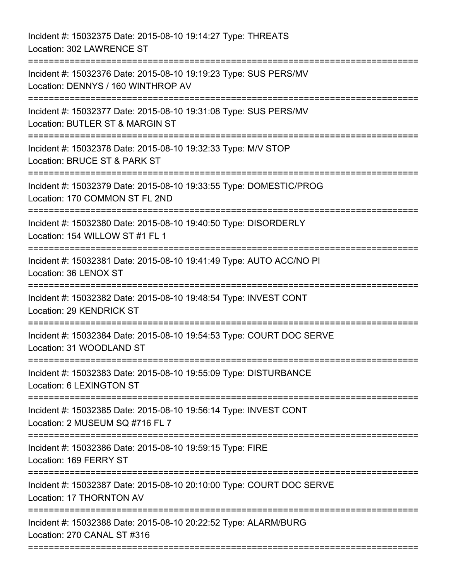Incident #: 15032375 Date: 2015-08-10 19:14:27 Type: THREATS Location: 302 LAWRENCE ST =========================================================================== Incident #: 15032376 Date: 2015-08-10 19:19:23 Type: SUS PERS/MV Location: DENNYS / 160 WINTHROP AV =========================================================================== Incident #: 15032377 Date: 2015-08-10 19:31:08 Type: SUS PERS/MV Location: BUTLER ST & MARGIN ST =========================================================================== Incident #: 15032378 Date: 2015-08-10 19:32:33 Type: M/V STOP Location: BRUCE ST & PARK ST =========================================================================== Incident #: 15032379 Date: 2015-08-10 19:33:55 Type: DOMESTIC/PROG Location: 170 COMMON ST FL 2ND =========================================================================== Incident #: 15032380 Date: 2015-08-10 19:40:50 Type: DISORDERLY Location: 154 WILLOW ST #1 FL 1 =========================================================================== Incident #: 15032381 Date: 2015-08-10 19:41:49 Type: AUTO ACC/NO PI Location: 36 LENOX ST =========================================================================== Incident #: 15032382 Date: 2015-08-10 19:48:54 Type: INVEST CONT Location: 29 KENDRICK ST =========================================================================== Incident #: 15032384 Date: 2015-08-10 19:54:53 Type: COURT DOC SERVE Location: 31 WOODLAND ST =========================================================================== Incident #: 15032383 Date: 2015-08-10 19:55:09 Type: DISTURBANCE Location: 6 LEXINGTON ST =========================================================================== Incident #: 15032385 Date: 2015-08-10 19:56:14 Type: INVEST CONT Location: 2 MUSEUM SQ #716 FL 7 =========================================================================== Incident #: 15032386 Date: 2015-08-10 19:59:15 Type: FIRE Location: 169 FERRY ST =========================================================================== Incident #: 15032387 Date: 2015-08-10 20:10:00 Type: COURT DOC SERVE Location: 17 THORNTON AV =========================================================================== Incident #: 15032388 Date: 2015-08-10 20:22:52 Type: ALARM/BURG Location: 270 CANAL ST #316 ===========================================================================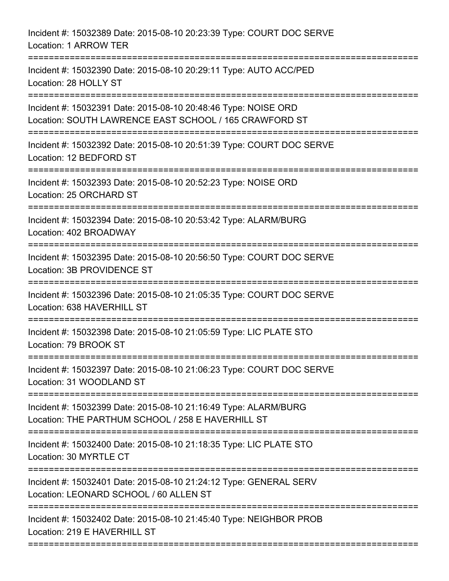| Incident #: 15032389 Date: 2015-08-10 20:23:39 Type: COURT DOC SERVE<br>Location: 1 ARROW TER                            |
|--------------------------------------------------------------------------------------------------------------------------|
| Incident #: 15032390 Date: 2015-08-10 20:29:11 Type: AUTO ACC/PED<br>Location: 28 HOLLY ST                               |
| Incident #: 15032391 Date: 2015-08-10 20:48:46 Type: NOISE ORD<br>Location: SOUTH LAWRENCE EAST SCHOOL / 165 CRAWFORD ST |
| Incident #: 15032392 Date: 2015-08-10 20:51:39 Type: COURT DOC SERVE<br>Location: 12 BEDFORD ST                          |
| Incident #: 15032393 Date: 2015-08-10 20:52:23 Type: NOISE ORD<br>Location: 25 ORCHARD ST                                |
| Incident #: 15032394 Date: 2015-08-10 20:53:42 Type: ALARM/BURG<br>Location: 402 BROADWAY                                |
| Incident #: 15032395 Date: 2015-08-10 20:56:50 Type: COURT DOC SERVE<br>Location: 3B PROVIDENCE ST                       |
| Incident #: 15032396 Date: 2015-08-10 21:05:35 Type: COURT DOC SERVE<br>Location: 638 HAVERHILL ST                       |
| Incident #: 15032398 Date: 2015-08-10 21:05:59 Type: LIC PLATE STO<br>Location: 79 BROOK ST                              |
| Incident #: 15032397 Date: 2015-08-10 21:06:23 Type: COURT DOC SERVE<br>Location: 31 WOODLAND ST                         |
| Incident #: 15032399 Date: 2015-08-10 21:16:49 Type: ALARM/BURG<br>Location: THE PARTHUM SCHOOL / 258 E HAVERHILL ST     |
| Incident #: 15032400 Date: 2015-08-10 21:18:35 Type: LIC PLATE STO<br>Location: 30 MYRTLE CT                             |
| Incident #: 15032401 Date: 2015-08-10 21:24:12 Type: GENERAL SERV<br>Location: LEONARD SCHOOL / 60 ALLEN ST              |
| Incident #: 15032402 Date: 2015-08-10 21:45:40 Type: NEIGHBOR PROB<br>Location: 219 E HAVERHILL ST                       |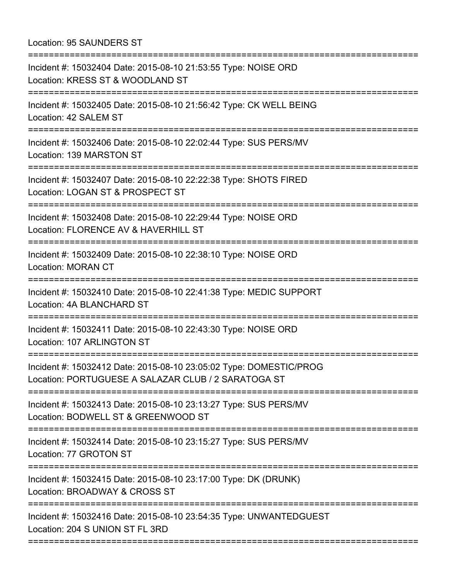Location: 95 SAUNDERS ST

| Incident #: 15032404 Date: 2015-08-10 21:53:55 Type: NOISE ORD<br>Location: KRESS ST & WOODLAND ST                                  |
|-------------------------------------------------------------------------------------------------------------------------------------|
| Incident #: 15032405 Date: 2015-08-10 21:56:42 Type: CK WELL BEING<br>Location: 42 SALEM ST                                         |
| Incident #: 15032406 Date: 2015-08-10 22:02:44 Type: SUS PERS/MV<br>Location: 139 MARSTON ST<br>===============================     |
| Incident #: 15032407 Date: 2015-08-10 22:22:38 Type: SHOTS FIRED<br>Location: LOGAN ST & PROSPECT ST                                |
| :========================<br>Incident #: 15032408 Date: 2015-08-10 22:29:44 Type: NOISE ORD<br>Location: FLORENCE AV & HAVERHILL ST |
| Incident #: 15032409 Date: 2015-08-10 22:38:10 Type: NOISE ORD<br><b>Location: MORAN CT</b>                                         |
| Incident #: 15032410 Date: 2015-08-10 22:41:38 Type: MEDIC SUPPORT<br>Location: 4A BLANCHARD ST                                     |
| Incident #: 15032411 Date: 2015-08-10 22:43:30 Type: NOISE ORD<br>Location: 107 ARLINGTON ST                                        |
| Incident #: 15032412 Date: 2015-08-10 23:05:02 Type: DOMESTIC/PROG<br>Location: PORTUGUESE A SALAZAR CLUB / 2 SARATOGA ST           |
| Incident #: 15032413 Date: 2015-08-10 23:13:27 Type: SUS PERS/MV<br>Location: BODWELL ST & GREENWOOD ST                             |
| Incident #: 15032414 Date: 2015-08-10 23:15:27 Type: SUS PERS/MV<br>Location: 77 GROTON ST                                          |
| Incident #: 15032415 Date: 2015-08-10 23:17:00 Type: DK (DRUNK)<br>Location: BROADWAY & CROSS ST                                    |
| Incident #: 15032416 Date: 2015-08-10 23:54:35 Type: UNWANTEDGUEST<br>Location: 204 S UNION ST FL 3RD                               |
|                                                                                                                                     |